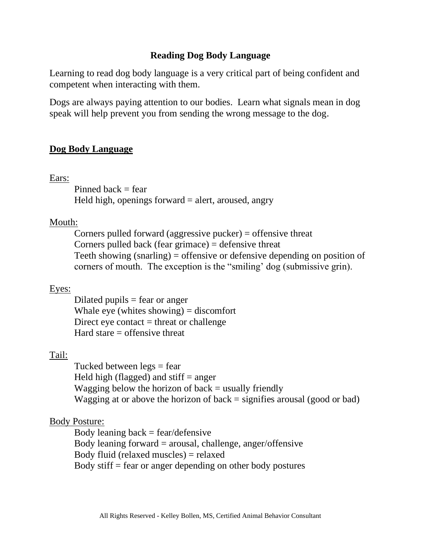# **Reading Dog Body Language**

Learning to read dog body language is a very critical part of being confident and competent when interacting with them.

Dogs are always paying attention to our bodies. Learn what signals mean in dog speak will help prevent you from sending the wrong message to the dog.

## **Dog Body Language**

Ears:

Pinned back  $=$  fear

Held high, openings forward  $=$  alert, aroused, angry

#### Mouth:

Corners pulled forward (aggressive pucker) = offensive threat Corners pulled back (fear grimace)  $=$  defensive threat Teeth showing (snarling) = offensive or defensive depending on position of corners of mouth. The exception is the "smiling' dog (submissive grin).

#### Eyes:

Dilated pupils  $=$  fear or anger Whale eye (whites showing)  $=$  discomfort Direct eye contact  $=$  threat or challenge Hard stare  $=$  offensive threat

#### Tail:

Tucked between  $\text{legs} = \text{fear}$ Held high (flagged) and stiff  $=$  anger Wagging below the horizon of back  $=$  usually friendly Wagging at or above the horizon of back  $=$  signifies arousal (good or bad)

#### Body Posture:

Body leaning  $back = fear/defensive$ Body leaning forward  $=$  arousal, challenge, anger/offensive Body fluid (relaxed muscles) = relaxed Body stiff = fear or anger depending on other body postures